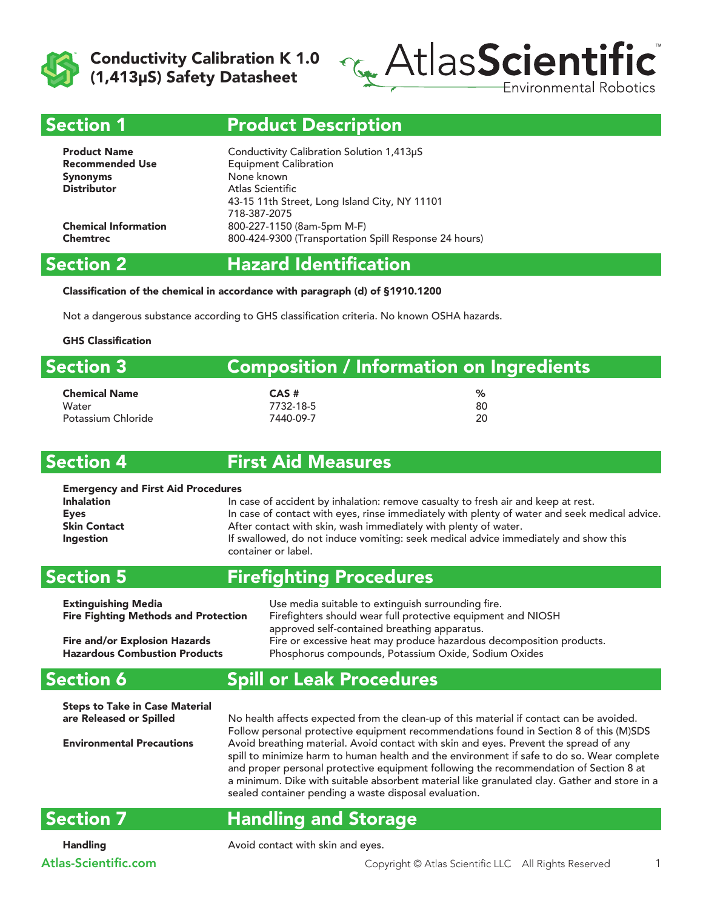



#### Section 1

### Product Description

| <b>Product Name</b><br><b>Recommended Use</b> | Conductivity Calibration Solution 1,413µS<br><b>Equipment Calibration</b><br>None known |
|-----------------------------------------------|-----------------------------------------------------------------------------------------|
| <b>Synonyms</b><br><b>Distributor</b>         | Atlas Scientific                                                                        |
|                                               | 43-15 11th Street, Long Island City, NY 11101<br>718-387-2075                           |
| <b>Chemical Information</b>                   | 800-227-1150 (8am-5pm M-F)                                                              |
| <b>Chemtrec</b>                               | 800-424-9300 (Transportation Spill Response 24 hours)                                   |

### Section 2

# Hazard Identification

#### Classification of the chemical in accordance with paragraph (d) of §1910.1200

Not a dangerous substance according to GHS classification criteria. No known OSHA hazards.

#### GHS Classification

| <b>Section 3</b>     | <b>Composition / Information on Ingredients</b> |    |  |
|----------------------|-------------------------------------------------|----|--|
| <b>Chemical Name</b> | $CAS$ #                                         | ℅  |  |
| Water                | 7732-18-5                                       | 80 |  |
| Potassium Chloride   | 7440-09-7                                       | 20 |  |

#### Section 4

### First Aid Measures

#### Emergency and First Aid Procedures Inhalation **In case of accident by inhalation:** remove casualty to fresh air and keep at rest. Eyes **In case of contact with eyes, rinse immediately with plenty of water and seek medical advice.** Skin Contact **After contact with skin, wash immediately with plenty of water.** Ingestion **If swallowed, do not induce vomiting:** seek medical advice immediately and show this container or label.

#### Section 5 Firefighting Procedures

| <b>Extinguishing Media</b>                  | Use media suitable to extinguish surrounding fire.                   |
|---------------------------------------------|----------------------------------------------------------------------|
| <b>Fire Fighting Methods and Protection</b> | Firefighters should wear full protective equipment and NIOSH         |
|                                             | approved self-contained breathing apparatus.                         |
| <b>Fire and/or Explosion Hazards</b>        | Fire or excessive heat may produce hazardous decomposition products. |
| <b>Hazardous Combustion Products</b>        | Phosphorus compounds, Potassium Oxide, Sodium Oxides                 |

#### Section 6

# Spill or Leak Procedures

Steps to Take in Case Material

are Released or Spilled No health affects expected from the clean-up of this material if contact can be avoided. Follow personal protective equipment recommendations found in Section 8 of this (M)SDS Environmental Precautions Avoid breathing material. Avoid contact with skin and eyes. Prevent the spread of any spill to minimize harm to human health and the environment if safe to do so. Wear complete and proper personal protective equipment following the recommendation of Section 8 at a minimum. Dike with suitable absorbent material like granulated clay. Gather and store in a sealed container pending a waste disposal evaluation.

# Section 7

# Handling and Storage

Handling **Avoid contact with skin and eyes.**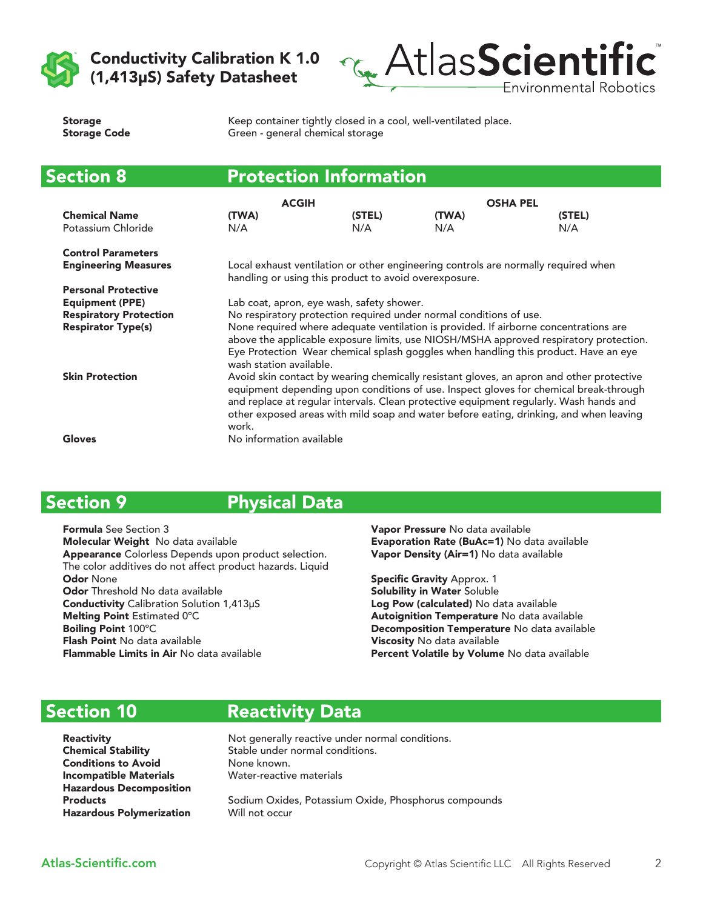



| <b>Storage</b>      |  |
|---------------------|--|
| <b>Storage Code</b> |  |

Keep container tightly closed in a cool, well-ventilated place. Green - general chemical storage

| <b>Section 8</b>              |                                                                                                                                                                                                                                                                                                                                                                                | <b>Protection Information</b>                         |       |                                                                                    |
|-------------------------------|--------------------------------------------------------------------------------------------------------------------------------------------------------------------------------------------------------------------------------------------------------------------------------------------------------------------------------------------------------------------------------|-------------------------------------------------------|-------|------------------------------------------------------------------------------------|
|                               | <b>ACGIH</b>                                                                                                                                                                                                                                                                                                                                                                   |                                                       |       | <b>OSHA PEL</b>                                                                    |
| <b>Chemical Name</b>          | (TWA)                                                                                                                                                                                                                                                                                                                                                                          | (STEL)                                                | (TWA) | (STEL)                                                                             |
| Potassium Chloride            | N/A                                                                                                                                                                                                                                                                                                                                                                            | N/A                                                   | N/A   | N/A                                                                                |
| <b>Control Parameters</b>     |                                                                                                                                                                                                                                                                                                                                                                                |                                                       |       |                                                                                    |
| <b>Engineering Measures</b>   |                                                                                                                                                                                                                                                                                                                                                                                | handling or using this product to avoid overexposure. |       | Local exhaust ventilation or other engineering controls are normally required when |
| <b>Personal Protective</b>    |                                                                                                                                                                                                                                                                                                                                                                                |                                                       |       |                                                                                    |
| <b>Equipment (PPE)</b>        | Lab coat, apron, eye wash, safety shower.                                                                                                                                                                                                                                                                                                                                      |                                                       |       |                                                                                    |
| <b>Respiratory Protection</b> | No respiratory protection required under normal conditions of use.                                                                                                                                                                                                                                                                                                             |                                                       |       |                                                                                    |
| <b>Respirator Type(s)</b>     | None required where adequate ventilation is provided. If airborne concentrations are<br>above the applicable exposure limits, use NIOSH/MSHA approved respiratory protection.<br>Eye Protection Wear chemical splash goggles when handling this product. Have an eye<br>wash station available.                                                                                |                                                       |       |                                                                                    |
| <b>Skin Protection</b>        | Avoid skin contact by wearing chemically resistant gloves, an apron and other protective<br>equipment depending upon conditions of use. Inspect gloves for chemical break-through<br>and replace at regular intervals. Clean protective equipment regularly. Wash hands and<br>other exposed areas with mild soap and water before eating, drinking, and when leaving<br>work. |                                                       |       |                                                                                    |
| Gloves                        | No information available                                                                                                                                                                                                                                                                                                                                                       |                                                       |       |                                                                                    |

# Section 9

### Physical Data

Formula See Section 3 Molecular Weight No data available Appearance Colorless Depends upon product selection. The color additives do not affect product hazards. Liquid Odor None Odor Threshold No data available Conductivity Calibration Solution 1,413μS Melting Point Estimated 0ºC Boiling Point 100ºC Flash Point No data available Flammable Limits in Air No data available

Vapor Pressure No data available Evaporation Rate (BuAc=1) No data available Vapor Density (Air=1) No data available

Specific Gravity Approx. 1 Solubility in Water Soluble Log Pow (calculated) No data available Autoignition Temperature No data available Decomposition Temperature No data available Viscosity No data available Percent Volatile by Volume No data available

# Section 10

Reactivity Data

Conditions to Avoid None known. Incompatible Materials Water-reactive materials Hazardous Decomposition Hazardous Polymerization Will not occur

**Reactivity Not generally reactive under normal conditions.** Chemical Stability Stable under normal conditions.

Products **Sodium Oxides, Potassium Oxide, Phosphorus compounds**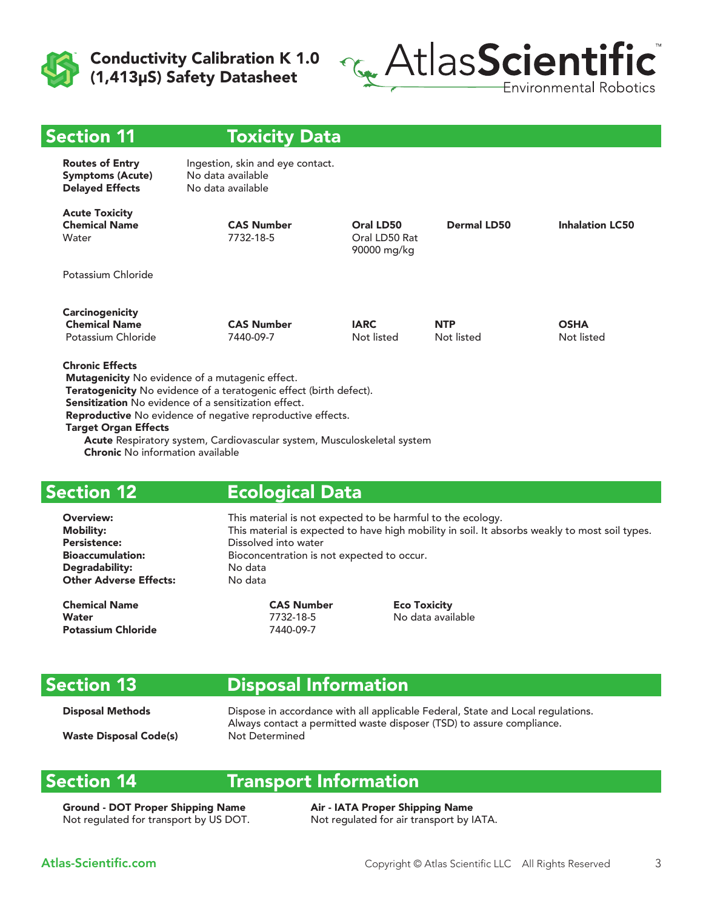



| <b>Toxicity Data</b>                                                       |                                           |                          |                           |
|----------------------------------------------------------------------------|-------------------------------------------|--------------------------|---------------------------|
| Ingestion, skin and eye contact.<br>No data available<br>No data available |                                           |                          |                           |
| <b>CAS Number</b><br>7732-18-5                                             | Oral LD50<br>Oral LD50 Rat<br>90000 mg/kg | <b>Dermal LD50</b>       | <b>Inhalation LC50</b>    |
|                                                                            |                                           |                          |                           |
| <b>CAS Number</b><br>7440-09-7                                             | <b>IARC</b><br>Not listed                 | <b>NTP</b><br>Not listed | <b>OSHA</b><br>Not listed |
|                                                                            |                                           |                          |                           |

Teratogenicity No evidence of a teratogenic effect (birth defect).

Sensitization No evidence of a sensitization effect.

Reproductive No evidence of negative reproductive effects.

Target Organ Effects

 Acute Respiratory system, Cardiovascular system, Musculoskeletal system Chronic No information available

### Section 12

#### Ecological Data

Persistence: Dissolved into water Degradability: No data **Other Adverse Effects:** 

Chemical Name CAS Number Eco Toxicity Water 7732-18-5 No data available Potassium Chloride 7440-09-7

Overview: This material is not expected to be harmful to the ecology. Mobility: This material is expected to have high mobility in soil. It absorbs weakly to most soil types. Bioaccumulation: Bioconcentration is not expected to occur.

# Section 13

# Disposal Information

**Disposal Methods** Dispose in accordance with all applicable Federal, State and Local regulations. Always contact a permitted waste disposer (TSD) to assure compliance. Waste Disposal Code(s) Not Determined

### Section 14

#### Transport Information

Ground - DOT Proper Shipping Name Air - IATA Proper Shipping Name Not regulated for transport by US DOT. Not regulated for air transport by IATA.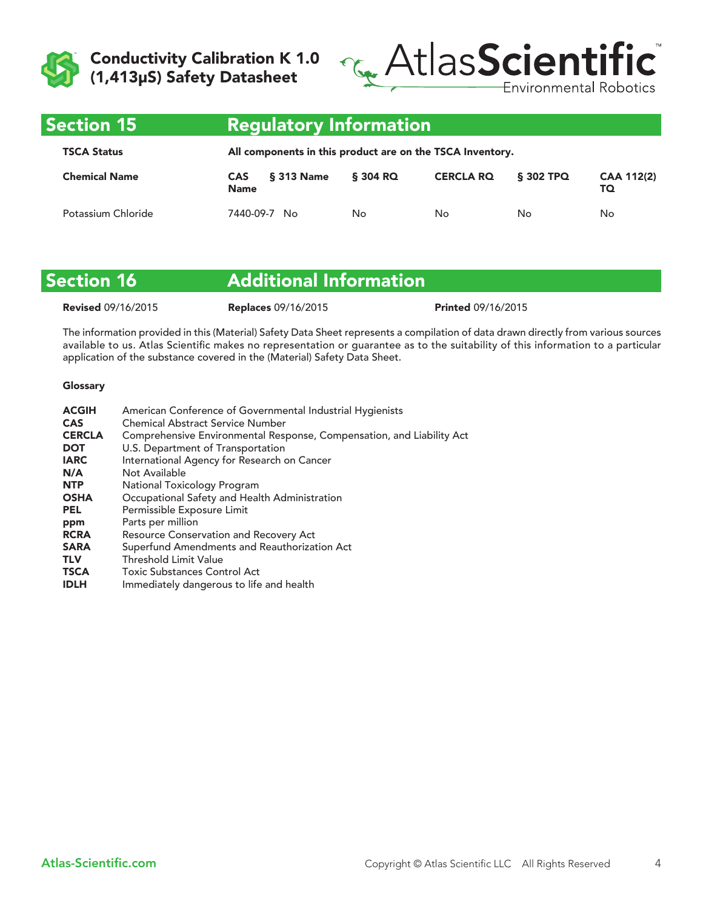



| <b>Section 15</b>    | Regulatory Information'                                   |          |                  |           |                         |
|----------------------|-----------------------------------------------------------|----------|------------------|-----------|-------------------------|
| <b>TSCA Status</b>   | All components in this product are on the TSCA Inventory. |          |                  |           |                         |
| <b>Chemical Name</b> | § 313 Name<br><b>CAS</b><br><b>Name</b>                   | \$304 RQ | <b>CERCLA RO</b> | \$302 TPQ | <b>CAA 112(2)</b><br>TQ |
| Potassium Chloride   | 7440-09-7<br>No                                           | No       | No               | No        | No                      |

| <b>Section 16</b>         | <b>Additional Information</b> |                           |  |
|---------------------------|-------------------------------|---------------------------|--|
| <b>Revised 09/16/2015</b> | <b>Replaces 09/16/2015</b>    | <b>Printed 09/16/2015</b> |  |

The information provided in this (Material) Safety Data Sheet represents a compilation of data drawn directly from various sources available to us. Atlas Scientific makes no representation or guarantee as to the suitability of this information to a particular application of the substance covered in the (Material) Safety Data Sheet.

#### Glossary

| American Conference of Governmental Industrial Hygienists             |
|-----------------------------------------------------------------------|
| <b>Chemical Abstract Service Number</b>                               |
| Comprehensive Environmental Response, Compensation, and Liability Act |
| U.S. Department of Transportation                                     |
| International Agency for Research on Cancer                           |
| Not Available                                                         |
| National Toxicology Program                                           |
| Occupational Safety and Health Administration                         |
| Permissible Exposure Limit                                            |
| Parts per million                                                     |
| <b>Resource Conservation and Recovery Act</b>                         |
| Superfund Amendments and Reauthorization Act                          |
| <b>Threshold Limit Value</b>                                          |
| <b>Toxic Substances Control Act</b>                                   |
| Immediately dangerous to life and health                              |
|                                                                       |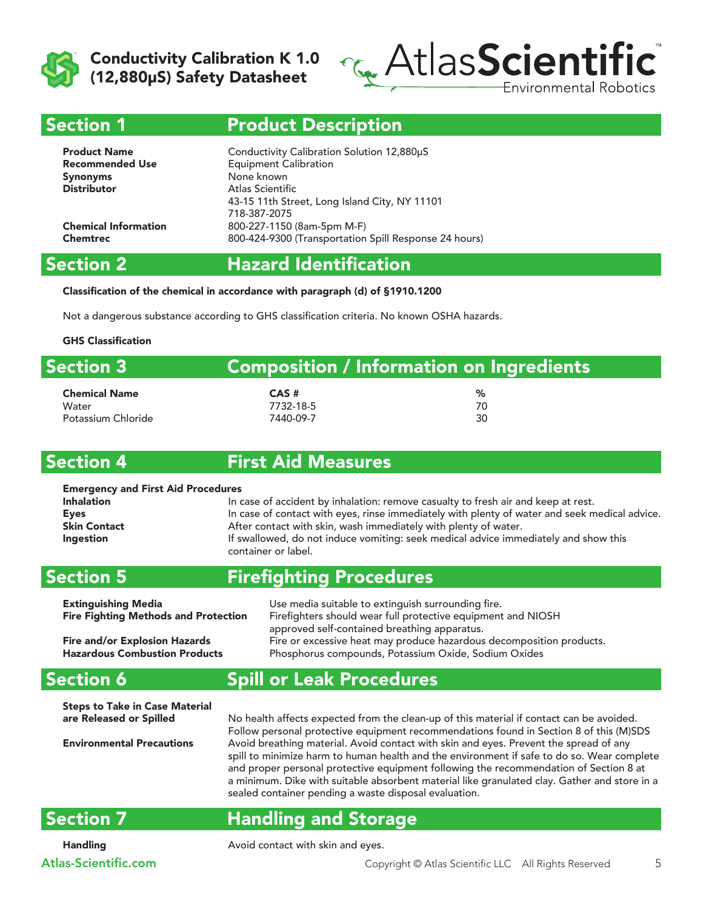



#### Section 1

### Product Description

| Conductivity Calibration Solution 12,880µS<br><b>Equipment Calibration</b><br>None known<br>Atlas Scientific |
|--------------------------------------------------------------------------------------------------------------|
| 43-15 11th Street, Long Island City, NY 11101                                                                |
| 718-387-2075                                                                                                 |
| 800-227-1150 (8am-5pm M-F)                                                                                   |
| 800-424-9300 (Transportation Spill Response 24 hours)                                                        |
|                                                                                                              |

#### Section 2

# Hazard Identification

Classification of the chemical in accordance with paragraph (d) of §1910.1200

Not a dangerous substance according to GHS classification criteria. No known OSHA hazards.

#### GHS Classification

| <b>Section 3</b>     |           | <b>Composition / Information on Ingredients</b> |  |
|----------------------|-----------|-------------------------------------------------|--|
| <b>Chemical Name</b> | $CAS$ #   | ℅                                               |  |
| Water                | 7732-18-5 | 70                                              |  |
| Potassium Chloride   | 7440-09-7 | 30                                              |  |

#### Section 4

#### First Aid Measures

| <b>Emergency and First Aid Procedures</b> |                                                                                               |
|-------------------------------------------|-----------------------------------------------------------------------------------------------|
| <b>Inhalation</b>                         | In case of accident by inhalation: remove casualty to fresh air and keep at rest.             |
| Eyes                                      | In case of contact with eyes, rinse immediately with plenty of water and seek medical advice. |
| <b>Skin Contact</b>                       | After contact with skin, wash immediately with plenty of water.                               |
| <b>Ingestion</b>                          | If swallowed, do not induce vomiting: seek medical advice immediately and show this           |
|                                           | container or label.                                                                           |

#### Section 5

### Firefighting Procedures

| <b>Extinguishing Media</b>                  | Use media suitable to extinguish surrounding fire.                   |
|---------------------------------------------|----------------------------------------------------------------------|
| <b>Fire Fighting Methods and Protection</b> | Firefighters should wear full protective equipment and NIOSH         |
|                                             | approved self-contained breathing apparatus.                         |
| <b>Fire and/or Explosion Hazards</b>        | Fire or excessive heat may produce hazardous decomposition products. |
| <b>Hazardous Combustion Products</b>        | Phosphorus compounds, Potassium Oxide, Sodium Oxides                 |

# Spill or Leak Procedures

Steps to Take in Case Material

are Released or Spilled No health affects expected from the clean-up of this material if contact can be avoided. Follow personal protective equipment recommendations found in Section 8 of this (M)SDS Environmental Precautions Avoid breathing material. Avoid contact with skin and eyes. Prevent the spread of any spill to minimize harm to human health and the environment if safe to do so. Wear complete and proper personal protective equipment following the recommendation of Section 8 at a minimum. Dike with suitable absorbent material like granulated clay. Gather and store in a sealed container pending a waste disposal evaluation.

### Section 7

Section 6

# Handling and Storage

Handling **Avoid contact with skin and eyes.**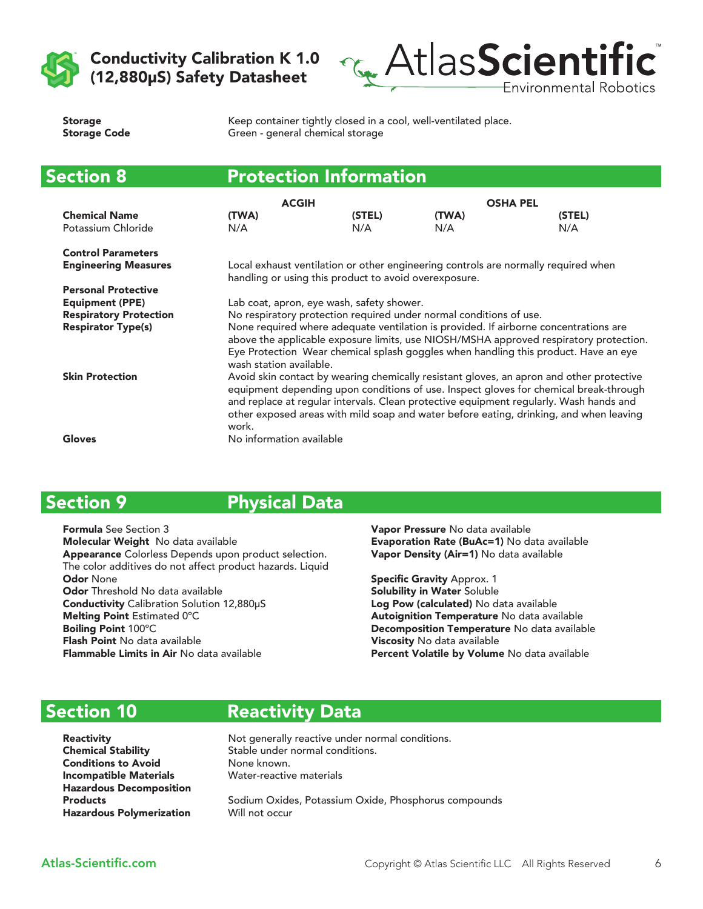



| <b>Storage</b>      |  |
|---------------------|--|
| <b>Storage Code</b> |  |

Keep container tightly closed in a cool, well-ventilated place. Green - general chemical storage

| <b>Section 8</b>              | <b>Protection Information</b>                                                                                                                                                                                                                                                                                                                                                  |                                                       |       |                                                                                    |
|-------------------------------|--------------------------------------------------------------------------------------------------------------------------------------------------------------------------------------------------------------------------------------------------------------------------------------------------------------------------------------------------------------------------------|-------------------------------------------------------|-------|------------------------------------------------------------------------------------|
|                               | <b>ACGIH</b>                                                                                                                                                                                                                                                                                                                                                                   |                                                       |       | <b>OSHA PEL</b>                                                                    |
| <b>Chemical Name</b>          | (TWA)                                                                                                                                                                                                                                                                                                                                                                          | (STEL)                                                | (TWA) | (STEL)                                                                             |
| Potassium Chloride            | N/A                                                                                                                                                                                                                                                                                                                                                                            | N/A                                                   | N/A   | N/A                                                                                |
| <b>Control Parameters</b>     |                                                                                                                                                                                                                                                                                                                                                                                |                                                       |       |                                                                                    |
| <b>Engineering Measures</b>   |                                                                                                                                                                                                                                                                                                                                                                                | handling or using this product to avoid overexposure. |       | Local exhaust ventilation or other engineering controls are normally required when |
| <b>Personal Protective</b>    |                                                                                                                                                                                                                                                                                                                                                                                |                                                       |       |                                                                                    |
| <b>Equipment (PPE)</b>        | Lab coat, apron, eye wash, safety shower.                                                                                                                                                                                                                                                                                                                                      |                                                       |       |                                                                                    |
| <b>Respiratory Protection</b> | No respiratory protection required under normal conditions of use.                                                                                                                                                                                                                                                                                                             |                                                       |       |                                                                                    |
| <b>Respirator Type(s)</b>     | None required where adequate ventilation is provided. If airborne concentrations are<br>above the applicable exposure limits, use NIOSH/MSHA approved respiratory protection.<br>Eye Protection Wear chemical splash goggles when handling this product. Have an eye<br>wash station available.                                                                                |                                                       |       |                                                                                    |
| <b>Skin Protection</b>        | Avoid skin contact by wearing chemically resistant gloves, an apron and other protective<br>equipment depending upon conditions of use. Inspect gloves for chemical break-through<br>and replace at regular intervals. Clean protective equipment regularly. Wash hands and<br>other exposed areas with mild soap and water before eating, drinking, and when leaving<br>work. |                                                       |       |                                                                                    |
| Gloves                        | No information available                                                                                                                                                                                                                                                                                                                                                       |                                                       |       |                                                                                    |

# Section 9

Physical Data

Formula See Section 3 Molecular Weight No data available Appearance Colorless Depends upon product selection. The color additives do not affect product hazards. Liquid Odor None Odor Threshold No data available Conductivity Calibration Solution 12,880μS Melting Point Estimated 0ºC Boiling Point 100ºC Flash Point No data available Flammable Limits in Air No data available

Vapor Pressure No data available Evaporation Rate (BuAc=1) No data available Vapor Density (Air=1) No data available

Specific Gravity Approx. 1 Solubility in Water Soluble Log Pow (calculated) No data available Autoignition Temperature No data available Decomposition Temperature No data available Viscosity No data available Percent Volatile by Volume No data available

# Section 10

Reactivity Data

Conditions to Avoid None known. Incompatible Materials Water-reactive materials Hazardous Decomposition Hazardous Polymerization Will not occur

**Reactivity Not generally reactive under normal conditions.** Chemical Stability Stable under normal conditions.

Products **Sodium Oxides, Potassium Oxide, Phosphorus compounds**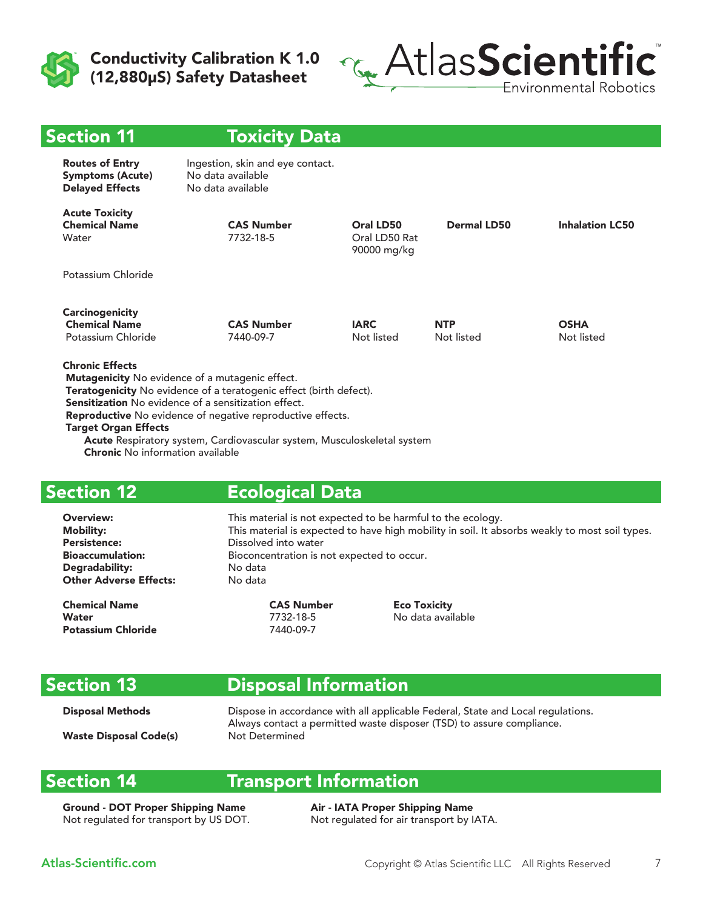



| <b>Section 11</b>                                                           | <b>Toxicity Data</b>                                                       |                                           |                          |                           |
|-----------------------------------------------------------------------------|----------------------------------------------------------------------------|-------------------------------------------|--------------------------|---------------------------|
| <b>Routes of Entry</b><br><b>Symptoms (Acute)</b><br><b>Delayed Effects</b> | Ingestion, skin and eye contact.<br>No data available<br>No data available |                                           |                          |                           |
| <b>Acute Toxicity</b><br><b>Chemical Name</b><br>Water                      | <b>CAS Number</b><br>7732-18-5                                             | Oral LD50<br>Oral LD50 Rat<br>90000 mg/kg | <b>Dermal LD50</b>       | <b>Inhalation LC50</b>    |
| Potassium Chloride                                                          |                                                                            |                                           |                          |                           |
| <b>Carcinogenicity</b><br><b>Chemical Name</b><br>Potassium Chloride        | <b>CAS Number</b><br>7440-09-7                                             | <b>IARC</b><br>Not listed                 | <b>NTP</b><br>Not listed | <b>OSHA</b><br>Not listed |
| <b>Chronic Effects</b>                                                      | Mutagenicity No evidence of a mutagenic effect.                            |                                           |                          |                           |

Teratogenicity No evidence of a teratogenic effect (birth defect).

Sensitization No evidence of a sensitization effect.

Reproductive No evidence of negative reproductive effects.

Target Organ Effects

 Acute Respiratory system, Cardiovascular system, Musculoskeletal system Chronic No information available

### Section 12

#### Ecological Data

Persistence: Dissolved into water Degradability: No data **Other Adverse Effects:** 

Chemical Name CAS Number Eco Toxicity Water 7732-18-5 No data available Potassium Chloride 7440-09-7

Overview: This material is not expected to be harmful to the ecology. Mobility: This material is expected to have high mobility in soil. It absorbs weakly to most soil types. Bioaccumulation: Bioconcentration is not expected to occur.

# Section 13

# Disposal Information

**Disposal Methods** Dispose in accordance with all applicable Federal, State and Local regulations. Always contact a permitted waste disposer (TSD) to assure compliance. Waste Disposal Code(s) Not Determined

#### Section 14

#### Transport Information

Ground - DOT Proper Shipping Name Air - IATA Proper Shipping Name Not regulated for transport by US DOT. Not regulated for air transport by IATA.